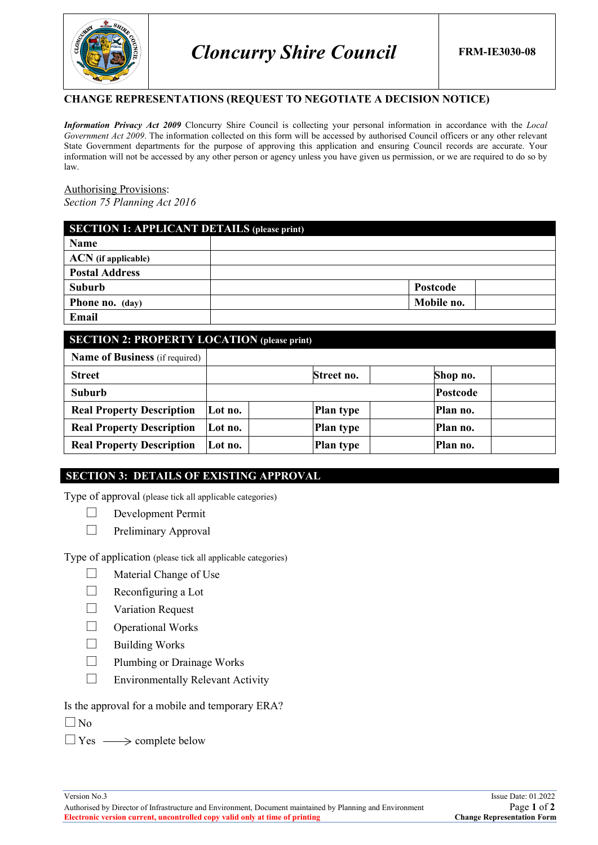

### **CHANGE REPRESENTATIONS (REQUEST TO NEGOTIATE A DECISION NOTICE)**

*Information Privacy Act 2009* Cloncurry Shire Council is collecting your personal information in accordance with the *Local Government Act 2009*. The information collected on this form will be accessed by authorised Council officers or any other relevant State Government departments for the purpose of approving this application and ensuring Council records are accurate. Your information will not be accessed by any other person or agency unless you have given us permission, or we are required to do so by law.

#### Authorising Provisions: *Section 75 Planning Act 2016*

| <b>SECTION 1: APPLICANT DETAILS (please print)</b> |            |  |  |
|----------------------------------------------------|------------|--|--|
| Name                                               |            |  |  |
| <b>ACN</b> (if applicable)                         |            |  |  |
| <b>Postal Address</b>                              |            |  |  |
| Suburb                                             | Postcode   |  |  |
| <b>Phone no.</b> (day)                             | Mobile no. |  |  |
| Email                                              |            |  |  |

| <b>SECTION 2: PROPERTY LOCATION (please print)</b> |         |                  |                 |  |
|----------------------------------------------------|---------|------------------|-----------------|--|
| <b>Name of Business</b> (if required)              |         |                  |                 |  |
| <b>Street</b>                                      |         | Street no.       | Shop no.        |  |
| Suburb                                             |         |                  | <b>Postcode</b> |  |
| <b>Real Property Description</b>                   | Lot no. | <b>Plan type</b> | Plan no.        |  |
| <b>Real Property Description</b>                   | Lot no. | <b>Plan type</b> | Plan no.        |  |
| <b>Real Property Description</b>                   | Lot no. | <b>Plan type</b> | Plan no.        |  |

### **SECTION 3: DETAILS OF EXISTING APPROVAL**

Type of approval (please tick all applicable categories)

Development Permit

 $\Box$  Preliminary Approval

Type of application (please tick all applicable categories)

- $\Box$  Material Change of Use
- $\Box$  Reconfiguring a Lot
- $\Box$  Variation Request
- $\Box$  Operational Works
- $\Box$  Building Works
- $\Box$  Plumbing or Drainage Works
- $\Box$  Environmentally Relevant Activity
- Is the approval for a mobile and temporary ERA?
- $\Box$  No
- $\Box$  Yes  $\longrightarrow$  complete below